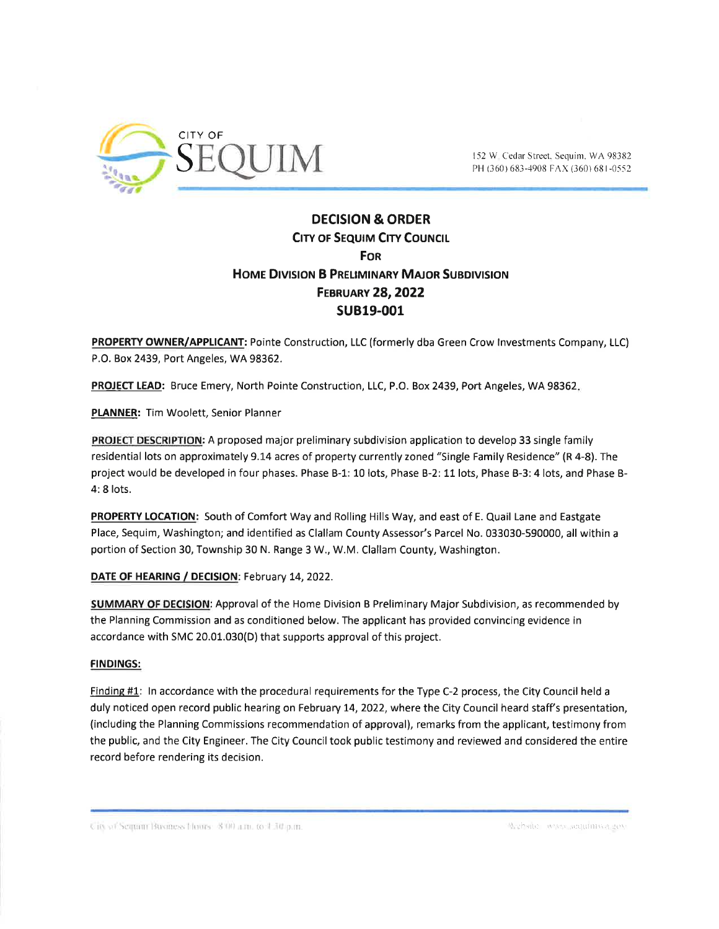

# **DECISION & ORDER CITY OF SEQUIM CITY COUNCIL FOR HOME DIVISION B PRELIMINARY MAJOR SUBDIVISION FEBRUARY 28, 2022 SUB19-001**

PROPERTY OWNER/APPLICANT: Pointe Construction, LLC (formerly dba Green Crow Investments Company, LLC) P.O. Box 2439, Port Angeles, WA 98362.

PROJECT LEAD: Bruce Emery, North Pointe Construction, LLC, P.O. Box 2439, Port Angeles, WA 98362.

PLANNER: Tim Woolett, Senior Planner

PROJECT DESCRIPTION: A proposed major preliminary subdivision application to develop 33 single family residential lots on approximately 9.14 acres of property currently zoned "Single Family Residence" (R 4-8). The project would be developed in four phases. Phase B-1: 10 lots, Phase B-2: 11 lots, Phase B-3: 4 lots, and Phase B-4: 8 lots.

PROPERTY LOCATION: South of Comfort Way and Rolling Hills Way, and east of E. Quail Lane and Eastgate Place, Sequim, Washington; and identified as Clallam County Assessor's Parcel No. 033030-590000, all within a portion of Section 30, Township 30 N. Range 3 W., W.M. Clallam County, Washington.

# DATE OF HEARING / DECISION: February 14, 2022.

**SUMMARY OF DECISION:** Approval of the Home Division B Preliminary Major Subdivision, as recommended by the Planning Commission and as conditioned below. The applicant has provided convincing evidence in accordance with SMC 20.01.030(D) that supports approval of this project.

# **FINDINGS:**

Finding #1: In accordance with the procedural requirements for the Type C-2 process, the City Council held a duly noticed open record public hearing on February 14, 2022, where the City Council heard staff's presentation, (including the Planning Commissions recommendation of approval), remarks from the applicant, testimony from the public, and the City Engineer. The City Council took public testimony and reviewed and considered the entire record before rendering its decision.

City of Sequity Business Hours: 8 00 a.m. to 4.30 p.m.

Website, www.sequiniwa.gov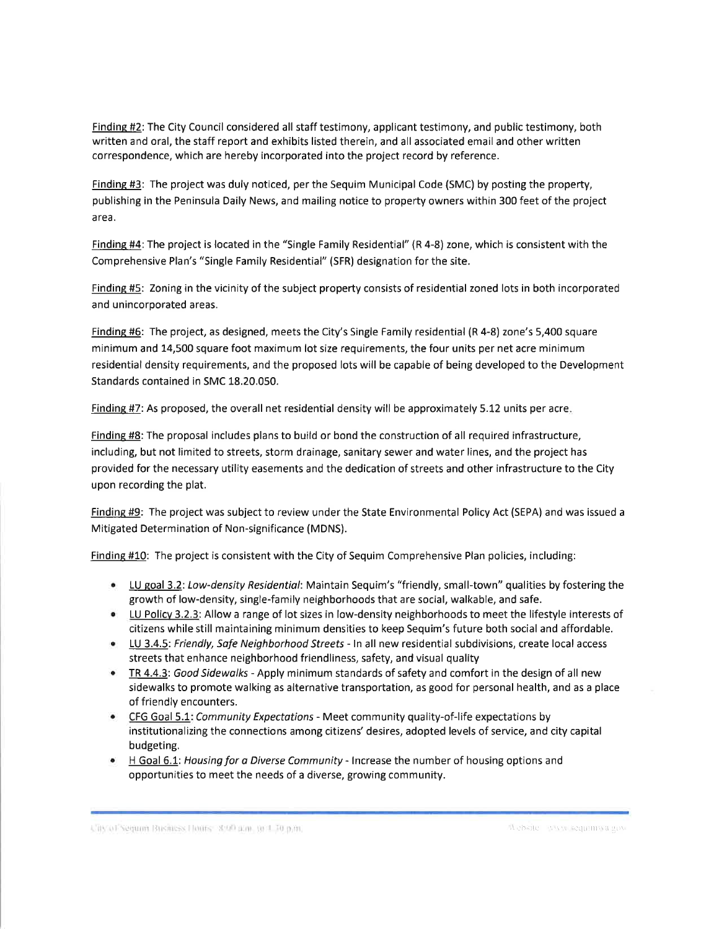Finding #2: The City Council considered all staff testimony, applicant testimony, and public testimony, both written and oral, the staff report and exhibits listed therein, and all associated email and other written correspondence, which are hereby incorporated into the project record by reference.

Findins #3: The project was duly noticed, per the Sequim Municipal Code (SMC) by posting the property, publishing in the Peninsula Daily News, and mailing notice to property owners within 300 feet of the project area.

Finding #4: The project is located in the "Single Family Residential" (R 4-8) zone, which is consistent with the Comprehensive Plan's "Single Family Residential" (SFR) designation for the site.

Finding #5: Zoning in the vicinity of the subject property consists of residential zoned lots in both incorporated and unincorporated areas.

Findins #6: The project, as designed, meets the City's Single Family residential (R 4-8) zone's 5,400 square minimum and 14,500 square foot maximum lot size requirements, the four units per net acre minimum residential density requirements, and the proposed lots will be capable of being developed to the Development Standards contained in SMC 18.20.050.

Findins #7: As proposed, the overall net residential density wíll be approximately 5.12 units per acre

Finding #8: The proposal includes plans to build or bond the construction of all required infrastructure, including, but not limited to streets, storm drainage, sanitary sewer and water lines, and the project has provided forthe necessary utility easements and the dedication of streets and other infrastructure to the City upon recording the plat.

Findine #9: The project was subject to review under the State Environmental Policy Act (SEPA) and was issued <sup>a</sup> Mitigated Determination of Non-significance (MDNS).

Finding #10: The project is consistent with the City of Sequim Comprehensive Plan policies, including:

- LU goal 3.2: Low-density Residential: Maintain Sequim's "friendly, small-town" qualities by fostering the growth of low-density, single-family neighborhoods that are social, walkable, and safe.
- LU Policy 3.2.3: Allow a range of lot sizes in low-density neighborhoods to meet the lifestyle interests of citizens while still maintaining minimum densities to keep Sequim's future both social and affordable.
- **LU 3.4.5: Friendly, Safe Neighborhood Streets In all new residential subdivisions, create local access** streets that enhance neighborhood friendliness, safety, and visual quality
- TR 4.4.3: Good Sidewalks Apply minimum standards of safety and comfort in the design of all new sidewalks to promote walking as alternative transportation, as good for personal health, and as a place of friendly encounters.
- CFG Goal 5.1: Community Expectations Meet community quality-of-life expectations by institutionalizing the connections among citizens' desires, adopted levels of service, and city capital budgeting.
- **H** Goal 6.1: Housing for a Diverse Community Increase the number of housing options and opportunities to meet the needs of a diverse, growing community.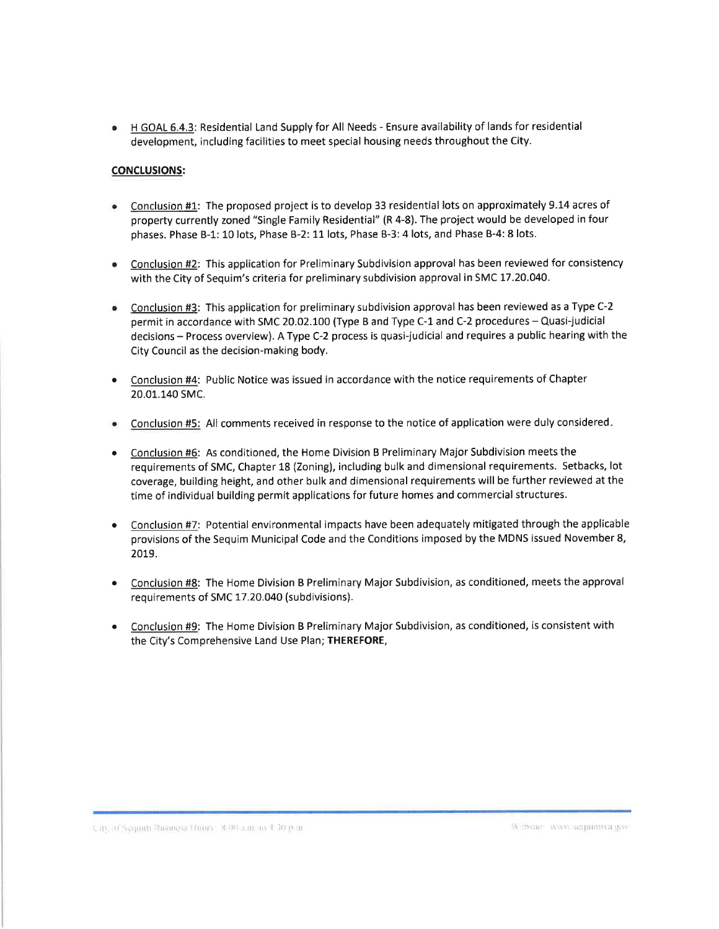<sup>a</sup> <sup>H</sup>GOAL 6.4.3: Residential Land Supply for All Needs - Ensure availability of lands for residential development, including facilities to meet special housing needs throughout the City.

# CONCLUSIONS:

- Conclusion #1: The proposed project is to develop 33 residential lots on approximately 9.14 acres of property currently zoned "single Family Residential" (R 4-S). The project would be developed in four phases. Phase B-1: 10 lots, Phase B-2: 11 lots, Phase B-3: 4 lots, and Phase B-4: 8 lots. a
- Conclusion #2: This application for Preliminary Subdivision approval has been reviewed for consistency with the City of Sequim's criteria for preliminary subdivision approval in SMC 17.20.040. a
- Conclusion #3: This application for preliminary subdivision approval has been reviewed as a Type C-2 permit in accordance with SMC 20.02.100 (Type B and Type C-1 and C-2 procedures - Quasi-judicial decisions- Process overview). AType C-2 process is quasi-judicial and requires a public hearing with the City Council as the decision-making body. a
- Conclusion #4: Public Notice was issued in accordance with the notice requirements of Chapter 20.01.140 SMC. a
- Conclusion #5: All comments received in response to the notice of application were duly considered a
- Conclusion #6: As conditioned, the Home Division B Preliminary Major Subdivision meets the requirements of SMC, Chapter 18 (Zoning), including bulk and dimensional requirements. Setbacks, lot coverage, building height, and other bulk and dimensional requirements will be further reviewed at the time of individual building permit applications for future homes and commercial structures. a
- Conclusion #7: Potential environmental impacts have been adequately mitigated through the applicable provisions of the Sequim Municipal Code and the Conditions imposed by the MDNS issued November 8, 2019. a
- Conclusion #8: The Home Division B Preliminary Major Subdivision, as conditioned, meets the approval requirements of SMC 17.20.040 (subdivisions). a
- Conclusion #9: The Home Division B Preliminary Major Subdivision, as conditioned, is consistent with the City's Comprehensive Land Use Plan; THEREFORE, a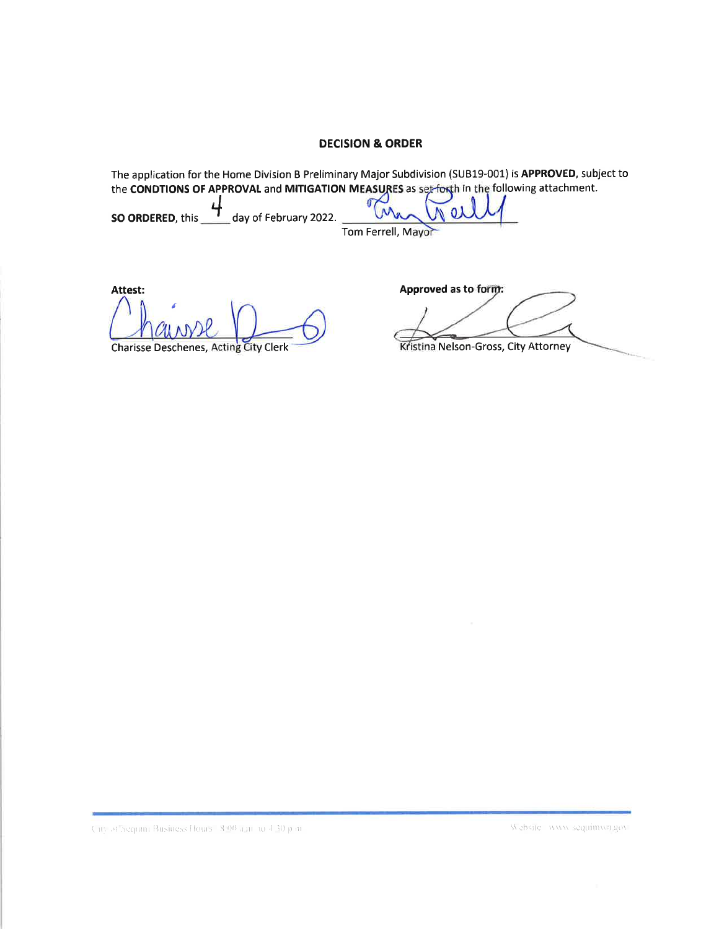# **DECISION & ORDER**

The application for the Home Division B Preliminary Major Subdivision (SUB19-001) is APPROVED, subject to the CONDTIONS OF APPROVAL and MITIGATION MEASURES as set forth in the following attachment.  $\sqrt{a}$ SO ORDERED, this  $\underline{\phantom{a}}$ **N**  $0<sub>0</sub>$ day of February 2022.

Tom Ferrell, Mayor

Attest:

**Charisse Deschenes, Acting City Clerk** 

Approved as to form:

Kristina Nelson-Gross, City Attorney

City of Sequini Business Hours 18.00 and to 4.30 p.m.

Website www.sequimwa.gov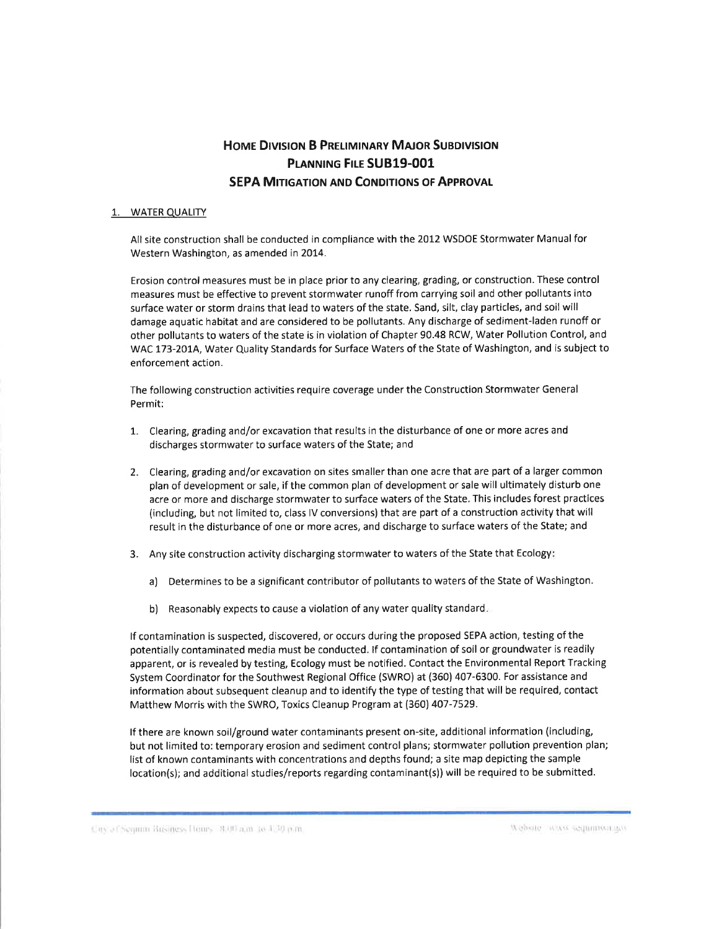# HOME DIVISION B PRELIMINARY MAJOR SUBDIVISION PLANNING FILE SUB19-001 **SEPA MITIGATION AND CONDITIONS OF APPROVAL**

### 1. WATER QUALITY

All site construction shall be conducted in compliance with the 2012 WSDOE Stormwater Manual for Western Washington, as amended in 2014.

Erosion control measures must be in place prior to any clearing, grading, or construction. These control measures must be effective to prevent stormwater runoff from carrying soil and other pollutants into surface water or storm drains that lead to waters of the state. Sand, silt, clay particles, and soil will damage aquatic habitat and are considered to be pollutants. Any discharge of sediment-laden runoff or other pollutants to waters of the state is in violation of Chapter 90.48 RCW, Water Pollution Control, and WAC 173-2014, Water Quality Standards for Surface Waters of the State of Washington, and is subject to enforcement action.

The following construction activities require coverage under the Construction Stormwater General Permit:

- 1. Clearing, grading and/or excavation that results in the disturbance of one or more acres and discharges stormwater to surface waters of the State; and
- 2. Clearing, grading and/or excavation on sites smaller than one acre that are part of a larger common plan of development or sale, if the common plan of development or sale will ultimately disturb one acre or more and discharge stormwater to surface waters of the State. This includes forest practices (including, but not limited to, class lV conversions) that are part of a construction activity that will result in the disturbance of one or more acres, and discharge to surface waters of the State; and
- 3. Any site construction activity discharging stormwater to waters of the State that Ecology:
	- a) Determines to be a significant contributor of pollutants to waters of the State of Washington.
	- b) Reasonably expects to cause a violation of any water quality standard

lf contamination is suspected, discovered, or occurs during the proposed SEPA action, testing ofthe potentially contaminated media must be conducted. lf contamination of soil or groundwater is readily apparent, or is revealed by testing, Ecology must be notified. Contact the Environmental Report Tracking System Coordinator for the Southwest Regional Office (SWRO) at (360) 407-6300. For assistance and information about subsequent cleanup and to identify the type of testing that will be required, contact Matthew Morris with the SWRO, Toxics Cleanup Program at (360) 407-7529.

lf there are known soil/ground water contaminants present on-site, additional information (including, but not limited to: temporary erosion and sediment control plans; stormwater pollution prevention plan; list of known contaminants with concentrations and depths found; a site map depicting the sample location(s); and additional studies/reports regarding contaminant(s)) will be required to be submitted.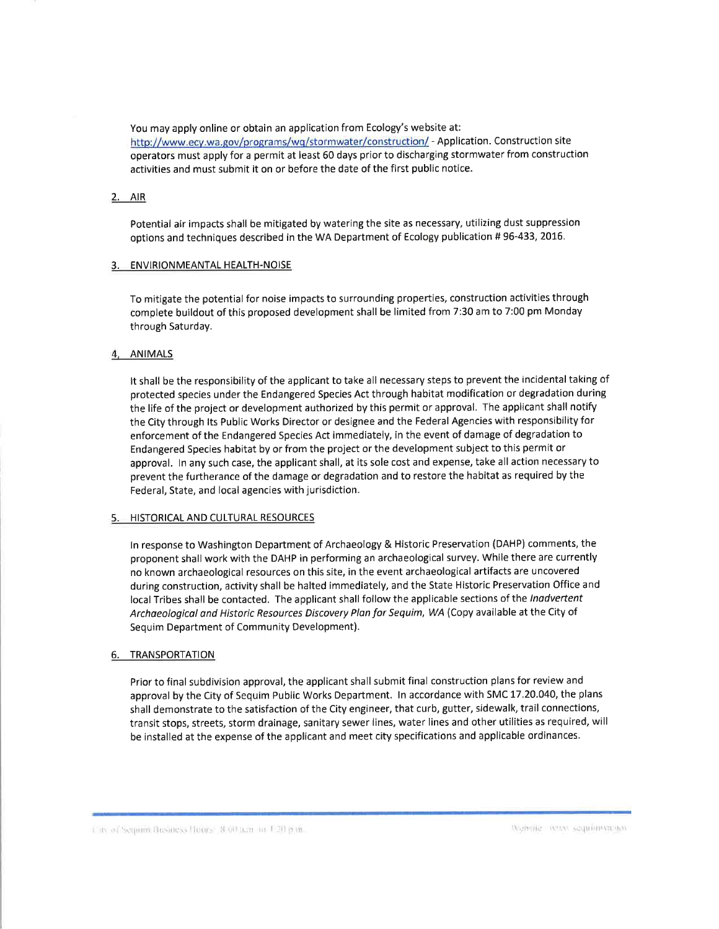You may apply online or obtain an application from Ecology's website at: http://www.ecy.wa.gov/programs/wq/stormwater/construction/ - Application. Construction site operators must apply for a permit at least 60 days prior to discharging stormwater from construction activities and must submit it on or before the date of the first public notice.

### 2. AIR

Potential air impacts shall be mitigated by watering the site as necessary, utilizing dust suppression options and techniques described in the WA Department of Ecology publication # 96-433, 2016.

#### 3. ENVIRIONMEANTAL HEALTH-NOISE

To mitigate the potential for noise impacts to surrounding properties, construction activities through complete buildout of this proposed development shall be limited from 7:30 am to 7:00 pm Monday through Saturday.

#### 4, ANIMALS

It shall be the responsibility of the applicant to take all necessary steps to prevent the incidental taking of protected species under the Endangered Species Act through habitat modification or degradation during the life of the project or development authorized by this permit or approval. The applicant shall notify the City through lts Public Works Director or designee and the Federal Agencies with responsibility for enforcement of the Endangered Species Act immediately, in the event of damage of degradation to Endangered Species habitat by or from the project or the development subject to this permit or approval. ln any such case, the applicant shall, at its sole cost and expense, take all action necessary to prevent the furtherance of the damage or degradation and to restore the habitat as required by the Federal, State, and local agencies with jurisdiction.

### 5. HISTORICAL AND CULTURAL RESOURCES

ln response to Washington Department of Archaeology & Historic Preservation (DAHP) comments, the proponent shall work with the DAHP in performing an archaeological survey. While there are currently no known archaeological resources on this site, in the event archaeological artifacts are uncovered during construction, activity shall be halted immediately, and the State Historic Preservation Office and local Tribes shall be contacted. The applicant shall follow the applicable sections of the Inadvertent Archaeological and Historic Resources Discovery Plon for Sequim, WA (Copy available at the City of Sequim Department of Community Development).

### **TRANSPORTATION**

Prior to final subdivision approval, the applicant shall submit final construction plans for review and approval by the City of Sequim Public Works Department. In accordance with SMC 17.20.040, the plans shall demonstrate to the satisfaction of the City engineer, that curb, gutter, sidewalk, trail connections, transit stops, streets, storm drainage, sanitary sewer lines, water lines and other utilities as required, will be installed at the expense of the applicant and meet city specifications and applicable ordinances.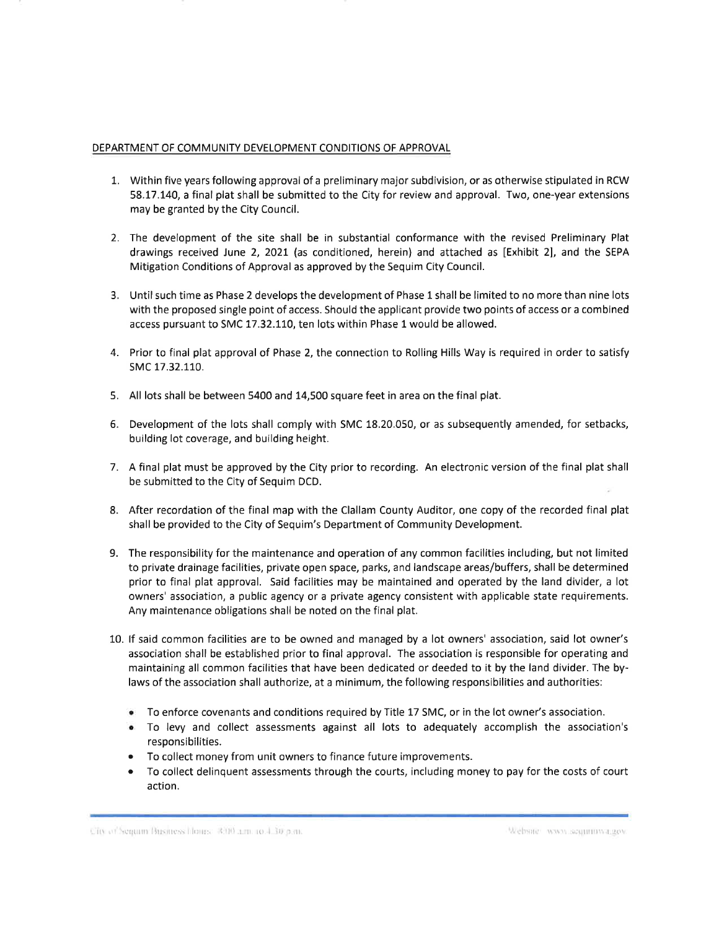### DEPARTMENT OF COMMUNITY DEVELOPMENT CONDITIONS OF APPROVAL

- 7. Within five years following approval of a preliminary major subdivision, or as otherwise stipulated in RCW 58.L7.140, a final plat shall be submitted to the City for review and approval. Two, one-year extensions may be granted by the City Council.
- 2. The development of the site shall be in substantial conformance with the revised Preliminary Plat drawings received June 2, 2021 (as conditioned, herein) and attached as [Exhibit 2], and the SEPA Mitigation Conditions of Approval as approved by the Sequim City Council.
- 3. Until such time as Phase 2 develops the development of Phase 1 shall be limited to no more than nine lots with the proposed single point of access. Should the applicant provide two points of access or a combined access pursuant to SMC 17.32.110, ten lots within Phase 1 would be allowed.
- 4. Prior to final plat approval of Phase 2, the connection to Rolling Hills Way is required in order to satisfy sMc 17.32.110.
- 5. All lots shall be between 5400 and 14,500 square feet in area on the final plat.
- 6. Development of the lots shall comply with SMC 18.20.050, or as subsequently amended, for setbacks, building lot coverage, and building height.
- 7. A final plat must be approved by the City prior to recording. An electronic version of the final plat shall be submitted to the City of Sequim DCD.
- 8. After recordation of the final map with the Clallam County Auditor, one copy of the recorded final plat shall be provided to the City of Sequim's Department of Community Development.
- 9. The responsibility for the maintenance and operation of any common facilities including, but not limited to private drainage facilities, private open space, parks, and landscape areas/buffers, shall be determined prior to final plat approval. Said facilities may be maintained and operated by the land divider, a lot owners' association, a public agency or a private agency consistent with applicable state requirements. Any maintenance obligations shall be noted on the final plat.
- 10. lf said common facilities are to be owned and managed by a lot owners' association, said lot owner's association shall be established prior to final approval. The association is responsible for operating and maintaining all common facilities that have been dedicated or deeded to it by the land divider. The bylaws of the association shall authorize, at a minimum, the following responsibilities and authorities:
	- o To enforce covenants and conditions required byTitle 17 SMC, or in the lot owner's association.
	- To levy and collect assessments against all lots to adequately accomplish the association's responsibilities.
	- To collect money from unit owners to finance future improvements.
	- To collect delinquent assessments through the courts, including money to pay for the costs of court action.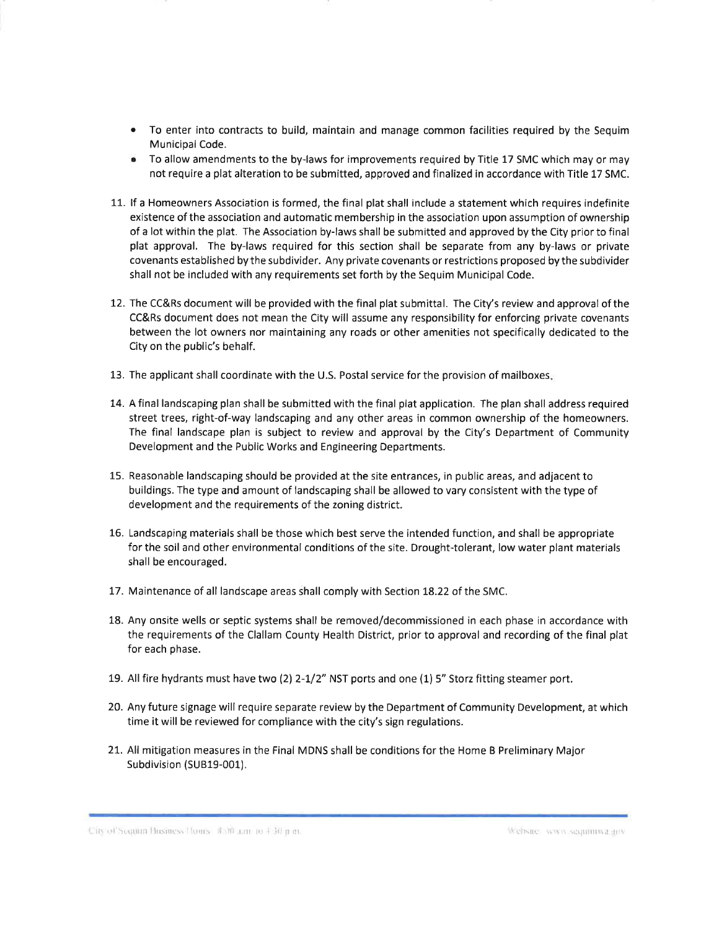- To enter into contracts to build, maintain and manage common facilities required by the Sequim a Municipal Code.
- $\bullet$  To allow amendments to the by-laws for improvements required by Title 17 SMC which may or may not require a plat alteration to be submitted, approved and finalized in accordance with Title 17 SMC.
- 11. lf a Homeowners Association is formed, the final plat shall include a statement which requires indefinite existence of the association and automatic membership in the association upon assumption of ownership of a lot within the plat. The Association by-laws shall be submitted and approved by the City prior to final plat approval. The by-laws required for this section shall be separate from any by-laws or private covenants established by the subdivider. Any private covenants or restrictions proposed by the subdivider shall not be included with any requirements set forth by the Sequim Municipal Code.
- 12. The CC&Rs document will be provided with the final plat submittal. The City's review and approval of the CC&Rs document does not mean the City will assume any responsibility for enforcing private covenants between the lot owners nor maintaining any roads or other amenities not specifically dedicated to the City on the public's behalf.
- 13. The applicant shall coordinate with the U.S. Postal service for the provision of mailboxes
- 14. Afinallandscaping plan shallbe submitted with the final plat application. The plan shalladdress required street trees, right-of-way landscaping and any other areas in common ownership of the homeowners. The final landscape plan is subject to review and approval by the City's Department of Community Development and the Public Works and Engineering Departments.
- 15. Reasonable landscaping should be provided at the site entrances, in public areas, and adjacent to buildings. The type and amount of landscaping shall be allowed to vary consistent with the type of development and the requirements of the zoning district.
- 16. Landscaping materials shall be those which best serve the intended function, and shall be appropriate for the soil and other environmental conditions of the site. Drought-tolerant, low water plant materials shall be encouraged.
- 17. Maintenance of all landscape areas shall comply with Section 18.22 of the SMC.
- 18. Any onsite wells or septic systems shall be removed/decommissioned in each phase in accordance with the requirements of the Clallam County Health District, prior to approval and recording of the final plat for each phase.
- 19. All fire hydrants must have two (2) 2-1/2" NST ports and one (1) 5" Storz fitting steamer port.
- 20. Any future signage will require separate review by the Department of Community Development, at which time it will be reviewed for compliance with the city's sign regulations.
- 21. All mitigation measures in the Final MDNS shall be conditions for the Home B Preliminary Major Subdivision (SUB19-001).

1 Uity-of-Sequint Business Hours = 8.00 a.m. to 4.30 p.m.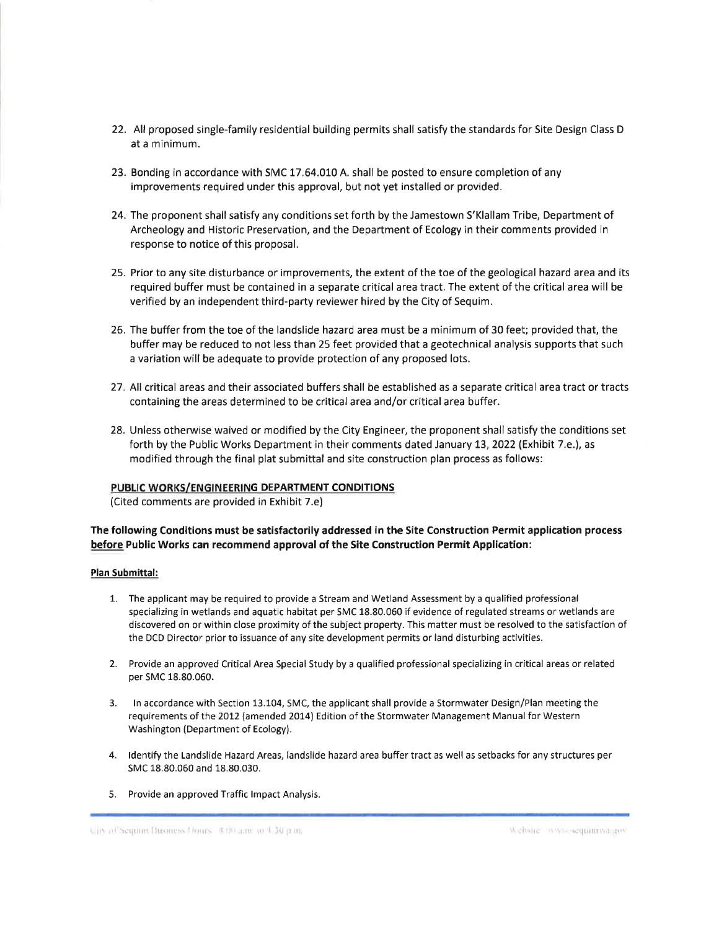- 22. All proposed single-family residential building permits shall satisfy the standards for Site Design Class <sup>D</sup> at a minimum.
- 23. Bonding in accordance with SMC 17.64.010 A. shall be posted to ensure completion of any improvements required under this approval, but not yet installed or provided.
- 24. The proponent shall satisfy any conditions set forth by the Jamestown S'Klallam Tribe, Department of Archeology and Historic Preservation, and the Department of Ecology in their comments provided in response to notice of this proposal.
- 25. Prior to any site disturbance or improvements, the extent of the toe of the geological hazard area and its required buffer must be contained in a separate critical area tract. The extent of the critical area will be verified by an independent third-party reviewer hired by the City of Sequim.
- 26. The buffer from the toe of the landslide hazard area must be a minimum of 30 feet; provided that, the buffer may be reduced to not less than 25 feet provided that a geotechnical analysis supports that such a variation will be adequate to provide protection of any proposed lots.
- 27. All critical areas and their associated buffers shall be established as a separate critical area tract or tracts containing the areas determined to be critical area and/or critical area buffer.
- 28. Unless otherwise waived or modified by the City Engineer, the proponent shall satisfy the conditions set forth by the Public Works Department in their comments dated January 13, 2022 (Exhibit 7.e.), as modified through the final plat submittal and site construction plan process as follows:

### PUBLIC WORKS/ENGINEERING DEPARTMENT CONDITIONS

(Cited comments are provided in Exhibit 7.e)

# The following Conditions must be satisfactorily addressed in the Site Construction Permit application process before Public Works can recommend approval of the Site Construction Permit Application:

### Plan Submittal:

- 1. The applicant may be required to provide a Stream and Wetland Assessment by a qualified professional specializing in wetlands and aquatic habitat per SMC 18.80.060 if evidence of regulated streams or wetlands are discovered on or within close proximity of the subject property. This matter must be resolved to the satisfaction of the DCD Director prior to issuance of any site development permits or land disturbing activities.
- 2. Provide an approved Critical Area Special Study by a qualified professional specializing in critical areas or related per SMC 18.80.060.
- 3. In accordance with Section 13.104, SMC, the applicant shall provide a Stormwater Design/Plan meeting the requirements of the 2012 (amended 2014) Edition of the Stormwater Management Manual for Western Washington (Department of Ecology).
- 4. ldentify the Landslide Hazard Areas, landslide hazard area buffer tract as well as setbacks for any structures per SMC 18.80.060 and 18.80.030.
- 5. Provide an approved Traffic lmpact Analysis.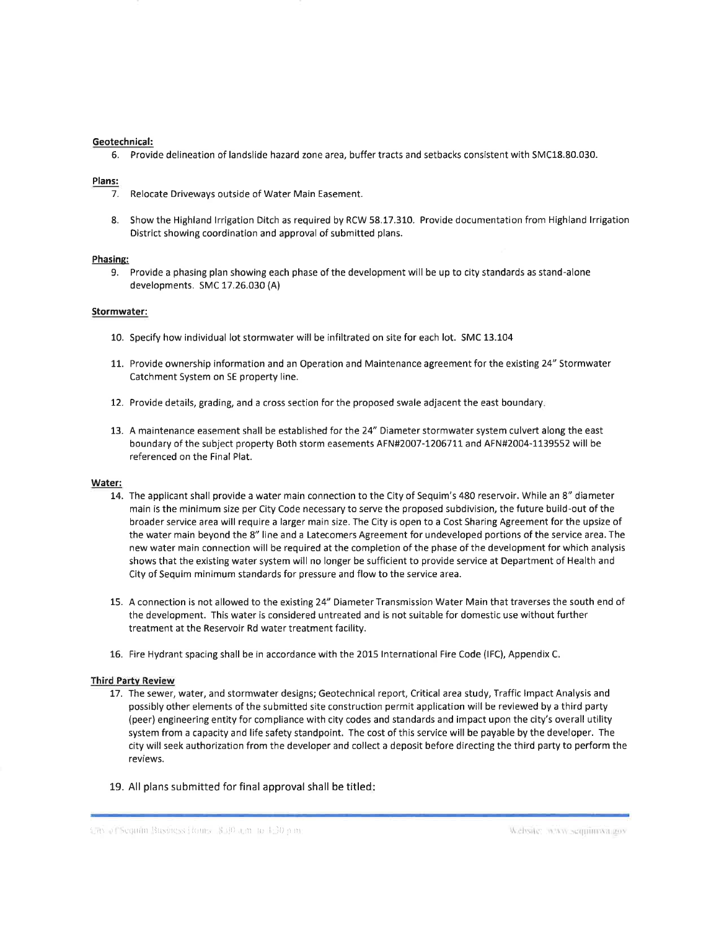#### Geotechnical:

6. Provide delineation of landslide hazard zone area, buffer tracts and setbacks consistent with SMC18.80.030.

#### Plans:

- 7. Relocate Driveways outside of Water Main Easement.
- 8. Show the Highland lrrigation Ditch as required by RCW 58.17.310. Provide documentation from Highland lrrigation District showing coordination and approval of submitted plans.

#### Phasing:

9. Provide a phasing plan showing each phase of the development will be up to city standards as stand-alone developments. SMC 17.26.030 (A)

#### Stormwater:

- 10. Specify how individual lot stormwater will be infiltrated on site for each lot. SMC 13.104
- 11. Provide ownership information and an Operation and Maintenance agreement for the existing 24" Stormwater Catchment System on SE property line.
- 12. Provide details, grading, and a cross section for the proposed swale adjacent the east boundary
- 13. A maintenance easement shall be established for the 24" Diameter stormwater system culvert along the east boundary of the subject property Both storm easements AFN#2007-1206711 and AFN#2004-1139552 will be referenced on the Final Plat.

#### Water:

- 14. The applicant shall provide a water main connection to the City of Sequim's 480 reservoir. While an 8" diameter main is the minimum size per City Code necessary to serve the proposed subdivision, the future build-out of the broader service area will require a larger main size. The City is open to a Cost Sharing Agreement for the upsize of the water main beyond the 8" line and a Latecomers Agreement for undeveloped portions of the service area. The new water main connection will be required at the completion of the phase of the development for which analysis shows that the existing water system will no longer be sufficient to provide service at Department of Health and City of Sequim minimum standards for pressure and flow to the service area.
- 15. A connection is not allowed to the existing 24" Diameter Transmission Water Main that traverses the south end of the development. This water is considered untreated and is not suitable for domestic use without further treatment at the Reservoir Rd water treatment facility.
- 16. Fire Hydrant spacing shall be in accordance with the 2015 lnternational Fire Code (lFC), Appendix <sup>C</sup>

#### Third Partv Review

- 17. The sewer, water, and stormwater designs; Geotechnical report, Critical area study, Traffic Impact Analysis and possibly other elements of the submitted site construction permit application will be reviewed by a third party (peer) engineering entity for compliance with city codes and standards and impact upon the city's overall utility system from a capacity and life safety standpoint. The cost of this service will be payable by the developer. The city will seek authorization from the developer and collect a deposit before directing the third party to perform the reviews.
- 19. All plans submitted for final approval shall be titled